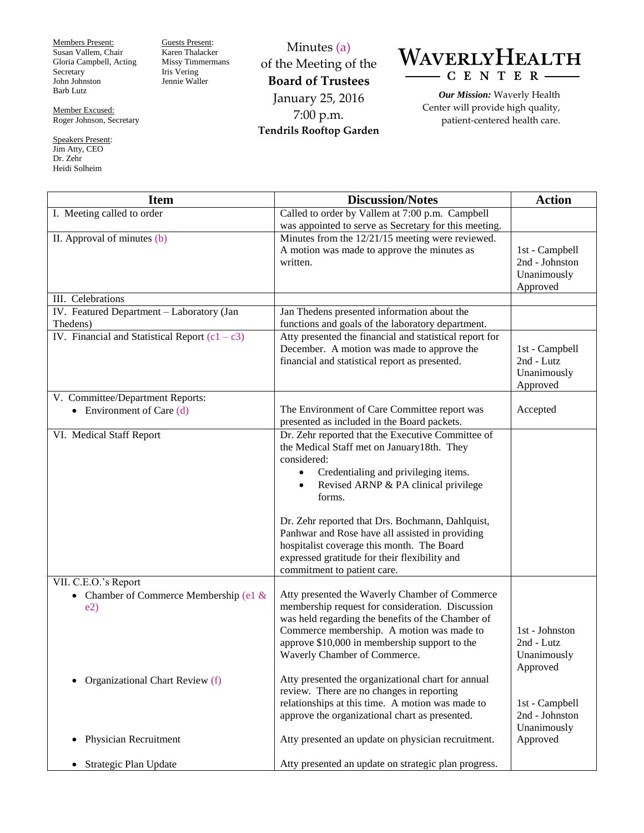Members Present: Susan Vallem, Chair Gloria Campbell, Acting Secretary John Johnston Barb Lutz

Member Excused: Roger Johnson, Secretary

Speakers Present: Jim Atty, CEO Dr. Zehr Heidi Solheim

Guests Present: Karen Thalacker Missy Timmermans Iris Vering Jennie Waller

Minutes (a) of the Meeting of the **Board of Trustees** January 25, 2016 7:00 p.m. **Tendrils Rooftop Garden**

## WAVERLYHEALTH  $-C E N T E R -$

*Our Mission:* Waverly Health Center will provide high quality, patient-centered health care.

| <b>Item</b>                                      | <b>Discussion/Notes</b>                                                                               | <b>Action</b>                |
|--------------------------------------------------|-------------------------------------------------------------------------------------------------------|------------------------------|
| I. Meeting called to order                       | Called to order by Vallem at 7:00 p.m. Campbell                                                       |                              |
|                                                  | was appointed to serve as Secretary for this meeting.                                                 |                              |
| II. Approval of minutes (b)                      | Minutes from the 12/21/15 meeting were reviewed.                                                      |                              |
|                                                  | A motion was made to approve the minutes as                                                           | 1st - Campbell               |
|                                                  | written.                                                                                              | 2nd - Johnston               |
|                                                  |                                                                                                       | Unanimously                  |
|                                                  |                                                                                                       | Approved                     |
| III. Celebrations                                |                                                                                                       |                              |
| IV. Featured Department - Laboratory (Jan        | Jan Thedens presented information about the                                                           |                              |
| Thedens)                                         | functions and goals of the laboratory department.                                                     |                              |
| IV. Financial and Statistical Report $(c1 - c3)$ | Atty presented the financial and statistical report for<br>December. A motion was made to approve the |                              |
|                                                  | financial and statistical report as presented.                                                        | 1st - Campbell<br>2nd - Lutz |
|                                                  |                                                                                                       | Unanimously                  |
|                                                  |                                                                                                       | Approved                     |
| V. Committee/Department Reports:                 |                                                                                                       |                              |
| • Environment of Care $(d)$                      | The Environment of Care Committee report was                                                          | Accepted                     |
|                                                  | presented as included in the Board packets.                                                           |                              |
| VI. Medical Staff Report                         | Dr. Zehr reported that the Executive Committee of                                                     |                              |
|                                                  | the Medical Staff met on January18th. They                                                            |                              |
|                                                  | considered:                                                                                           |                              |
|                                                  | Credentialing and privileging items.<br>$\bullet$                                                     |                              |
|                                                  | Revised ARNP & PA clinical privilege<br>$\bullet$                                                     |                              |
|                                                  | forms.                                                                                                |                              |
|                                                  |                                                                                                       |                              |
|                                                  | Dr. Zehr reported that Drs. Bochmann, Dahlquist,                                                      |                              |
|                                                  | Panhwar and Rose have all assisted in providing                                                       |                              |
|                                                  | hospitalist coverage this month. The Board                                                            |                              |
|                                                  | expressed gratitude for their flexibility and<br>commitment to patient care.                          |                              |
| VII. C.E.O.'s Report                             |                                                                                                       |                              |
| • Chamber of Commerce Membership (e1 $&$         | Atty presented the Waverly Chamber of Commerce                                                        |                              |
| e2)                                              | membership request for consideration. Discussion                                                      |                              |
|                                                  | was held regarding the benefits of the Chamber of                                                     |                              |
|                                                  | Commerce membership. A motion was made to                                                             | 1st - Johnston               |
|                                                  | approve \$10,000 in membership support to the                                                         | 2nd - Lutz                   |
|                                                  | Waverly Chamber of Commerce.                                                                          | Unanimously                  |
|                                                  |                                                                                                       | Approved                     |
| Organizational Chart Review (f)                  | Atty presented the organizational chart for annual                                                    |                              |
|                                                  | review. There are no changes in reporting                                                             |                              |
|                                                  | relationships at this time. A motion was made to                                                      | 1st - Campbell               |
|                                                  | approve the organizational chart as presented.                                                        | 2nd - Johnston               |
| Physician Recruitment<br>$\bullet$               | Atty presented an update on physician recruitment.                                                    | Unanimously<br>Approved      |
|                                                  |                                                                                                       |                              |
| Strategic Plan Update<br>$\bullet$               | Atty presented an update on strategic plan progress.                                                  |                              |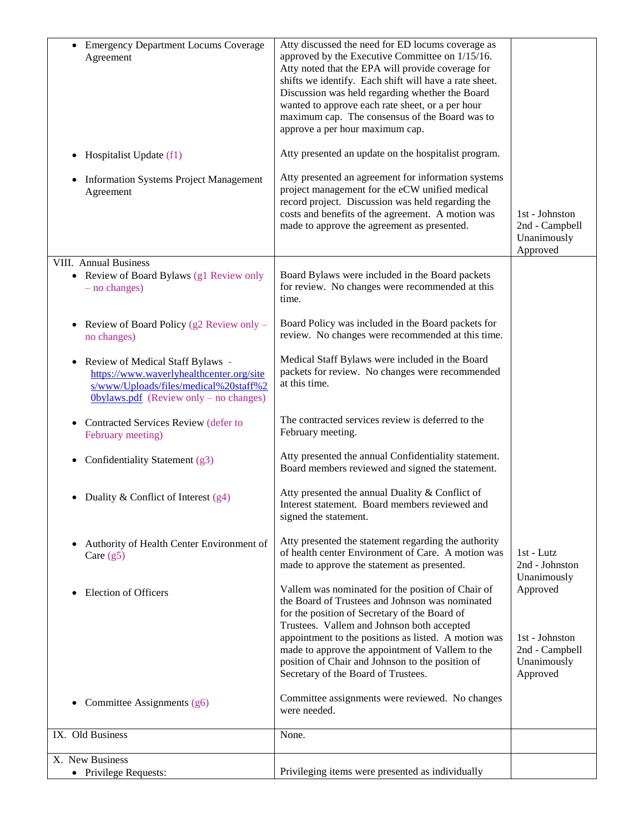| <b>Emergency Department Locums Coverage</b><br>$\bullet$<br>Agreement                                                                                                   | Atty discussed the need for ED locums coverage as<br>approved by the Executive Committee on 1/15/16.<br>Atty noted that the EPA will provide coverage for<br>shifts we identify. Each shift will have a rate sheet.<br>Discussion was held regarding whether the Board<br>wanted to approve each rate sheet, or a per hour<br>maximum cap. The consensus of the Board was to<br>approve a per hour maximum cap. |                                                                         |
|-------------------------------------------------------------------------------------------------------------------------------------------------------------------------|-----------------------------------------------------------------------------------------------------------------------------------------------------------------------------------------------------------------------------------------------------------------------------------------------------------------------------------------------------------------------------------------------------------------|-------------------------------------------------------------------------|
| Hospitalist Update (f1)<br>٠                                                                                                                                            | Atty presented an update on the hospitalist program.                                                                                                                                                                                                                                                                                                                                                            |                                                                         |
| <b>Information Systems Project Management</b><br>$\bullet$<br>Agreement                                                                                                 | Atty presented an agreement for information systems<br>project management for the eCW unified medical<br>record project. Discussion was held regarding the<br>costs and benefits of the agreement. A motion was<br>made to approve the agreement as presented.                                                                                                                                                  | 1st - Johnston<br>2nd - Campbell<br>Unanimously<br>Approved             |
| VIII. Annual Business<br>• Review of Board Bylaws (g1 Review only<br>$-$ no changes)                                                                                    | Board Bylaws were included in the Board packets<br>for review. No changes were recommended at this<br>time.                                                                                                                                                                                                                                                                                                     |                                                                         |
| Review of Board Policy (g2 Review only –<br>$\bullet$<br>no changes)                                                                                                    | Board Policy was included in the Board packets for<br>review. No changes were recommended at this time.                                                                                                                                                                                                                                                                                                         |                                                                         |
| Review of Medical Staff Bylaws -<br>٠<br>https://www.waverlyhealthcenter.org/site<br>s/www/Uploads/files/medical%20staff%2<br>$0$ bylaws.pdf (Review only – no changes) | Medical Staff Bylaws were included in the Board<br>packets for review. No changes were recommended<br>at this time.                                                                                                                                                                                                                                                                                             |                                                                         |
| Contracted Services Review (defer to<br>February meeting)                                                                                                               | The contracted services review is deferred to the<br>February meeting.                                                                                                                                                                                                                                                                                                                                          |                                                                         |
| Confidentiality Statement (g3)                                                                                                                                          | Atty presented the annual Confidentiality statement.<br>Board members reviewed and signed the statement.                                                                                                                                                                                                                                                                                                        |                                                                         |
| Duality & Conflict of Interest $(g4)$<br>٠                                                                                                                              | Atty presented the annual Duality & Conflict of<br>Interest statement. Board members reviewed and<br>signed the statement.                                                                                                                                                                                                                                                                                      |                                                                         |
| Authority of Health Center Environment of<br>Care $(g5)$                                                                                                                | Atty presented the statement regarding the authority<br>of health center Environment of Care. A motion was<br>made to approve the statement as presented.                                                                                                                                                                                                                                                       | 1st - Lutz<br>2nd - Johnston<br>Unanimously                             |
| <b>Election of Officers</b>                                                                                                                                             | Vallem was nominated for the position of Chair of<br>the Board of Trustees and Johnson was nominated<br>for the position of Secretary of the Board of<br>Trustees. Vallem and Johnson both accepted<br>appointment to the positions as listed. A motion was<br>made to approve the appointment of Vallem to the<br>position of Chair and Johnson to the position of<br>Secretary of the Board of Trustees.      | Approved<br>1st - Johnston<br>2nd - Campbell<br>Unanimously<br>Approved |
| Committee Assignments (g6)<br>$\bullet$                                                                                                                                 | Committee assignments were reviewed. No changes<br>were needed.                                                                                                                                                                                                                                                                                                                                                 |                                                                         |
| IX. Old Business                                                                                                                                                        | None.                                                                                                                                                                                                                                                                                                                                                                                                           |                                                                         |
| X. New Business<br>• Privilege Requests:                                                                                                                                | Privileging items were presented as individually                                                                                                                                                                                                                                                                                                                                                                |                                                                         |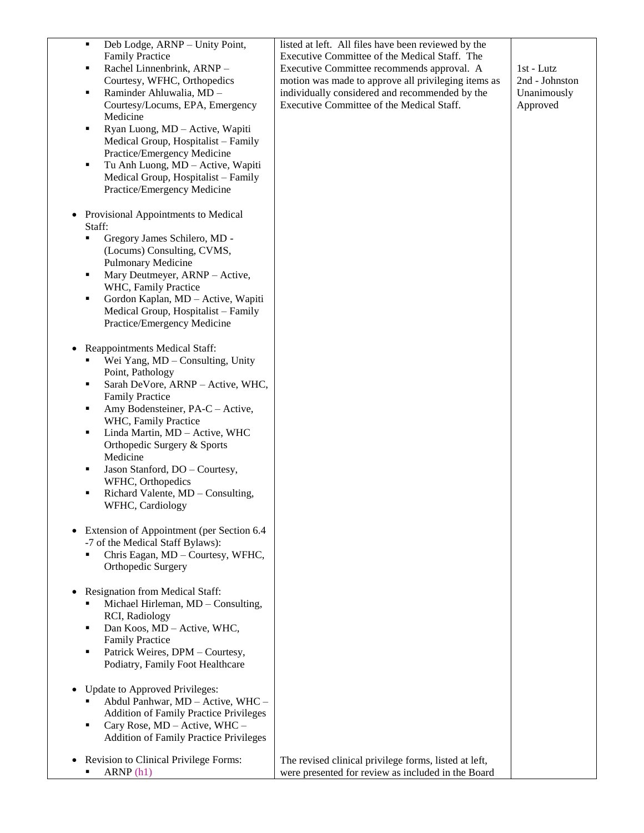| Deb Lodge, ARNP - Unity Point,<br>٠           | listed at left. All files have been reviewed by the   |                |
|-----------------------------------------------|-------------------------------------------------------|----------------|
| <b>Family Practice</b>                        | Executive Committee of the Medical Staff. The         |                |
| Rachel Linnenbrink, ARNP-<br>٠                | Executive Committee recommends approval. A            | 1st - Lutz     |
| Courtesy, WFHC, Orthopedics                   | motion was made to approve all privileging items as   | 2nd - Johnston |
| Raminder Ahluwalia, MD -<br>٠                 | individually considered and recommended by the        | Unanimously    |
| Courtesy/Locums, EPA, Emergency               | Executive Committee of the Medical Staff.             | Approved       |
| Medicine                                      |                                                       |                |
| Ryan Luong, MD - Active, Wapiti<br>٠          |                                                       |                |
| Medical Group, Hospitalist - Family           |                                                       |                |
| Practice/Emergency Medicine                   |                                                       |                |
| Tu Anh Luong, MD - Active, Wapiti<br>٠        |                                                       |                |
| Medical Group, Hospitalist - Family           |                                                       |                |
| Practice/Emergency Medicine                   |                                                       |                |
|                                               |                                                       |                |
| Provisional Appointments to Medical           |                                                       |                |
| Staff:                                        |                                                       |                |
| Gregory James Schilero, MD -<br>٠             |                                                       |                |
| (Locums) Consulting, CVMS,                    |                                                       |                |
| Pulmonary Medicine                            |                                                       |                |
| Mary Deutmeyer, ARNP - Active,<br>٠           |                                                       |                |
| WHC, Family Practice                          |                                                       |                |
| Gordon Kaplan, MD - Active, Wapiti<br>٠       |                                                       |                |
| Medical Group, Hospitalist - Family           |                                                       |                |
| Practice/Emergency Medicine                   |                                                       |                |
|                                               |                                                       |                |
| Reappointments Medical Staff:                 |                                                       |                |
| Wei Yang, MD - Consulting, Unity              |                                                       |                |
| Point, Pathology                              |                                                       |                |
| Sarah DeVore, ARNP - Active, WHC,<br>٠        |                                                       |                |
| <b>Family Practice</b>                        |                                                       |                |
| Amy Bodensteiner, PA-C - Active,<br>٠         |                                                       |                |
| WHC, Family Practice                          |                                                       |                |
| Linda Martin, MD - Active, WHC<br>٠           |                                                       |                |
| Orthopedic Surgery & Sports                   |                                                       |                |
| Medicine                                      |                                                       |                |
| Jason Stanford, DO - Courtesy,<br>٠           |                                                       |                |
| WFHC, Orthopedics                             |                                                       |                |
| Richard Valente, MD - Consulting,<br>п        |                                                       |                |
| WFHC, Cardiology                              |                                                       |                |
|                                               |                                                       |                |
| Extension of Appointment (per Section 6.4     |                                                       |                |
| -7 of the Medical Staff Bylaws):              |                                                       |                |
| Chris Eagan, MD - Courtesy, WFHC,             |                                                       |                |
| Orthopedic Surgery                            |                                                       |                |
|                                               |                                                       |                |
| Resignation from Medical Staff:               |                                                       |                |
| Michael Hirleman, MD - Consulting,            |                                                       |                |
| RCI, Radiology                                |                                                       |                |
| Dan Koos, MD - Active, WHC,<br>٠              |                                                       |                |
| <b>Family Practice</b>                        |                                                       |                |
| Patrick Weires, DPM - Courtesy,<br>Е          |                                                       |                |
| Podiatry, Family Foot Healthcare              |                                                       |                |
|                                               |                                                       |                |
| Update to Approved Privileges:                |                                                       |                |
| Abdul Panhwar, MD - Active, WHC -             |                                                       |                |
| <b>Addition of Family Practice Privileges</b> |                                                       |                |
| Cary Rose, MD - Active, WHC -<br>٠            |                                                       |                |
| <b>Addition of Family Practice Privileges</b> |                                                       |                |
|                                               |                                                       |                |
| Revision to Clinical Privilege Forms:         | The revised clinical privilege forms, listed at left, |                |
| ARNP(h1)                                      | were presented for review as included in the Board    |                |